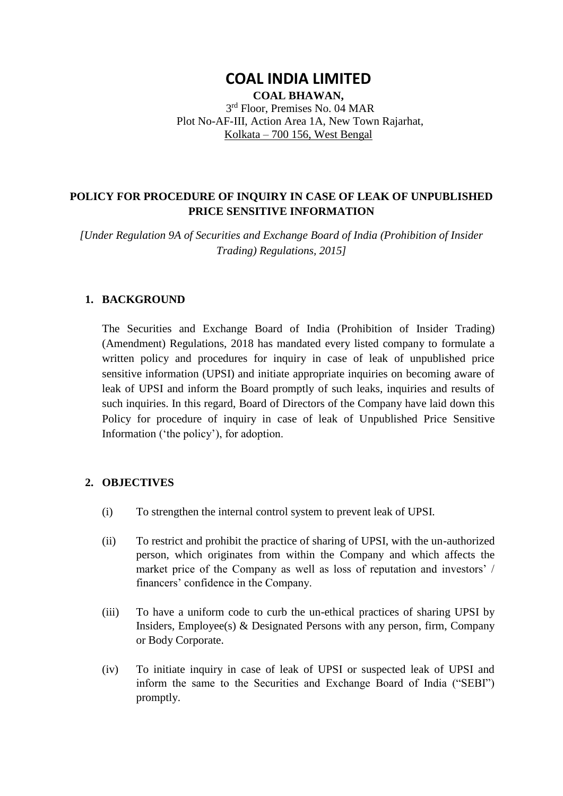# **COAL INDIA LIMITED**

**COAL BHAWAN,**  3 rd Floor, Premises No. 04 MAR Plot No-AF-III, Action Area 1A, New Town Rajarhat, Kolkata – 700 156, West Bengal

# **POLICY FOR PROCEDURE OF INQUIRY IN CASE OF LEAK OF UNPUBLISHED PRICE SENSITIVE INFORMATION**

*[Under Regulation 9A of Securities and Exchange Board of India (Prohibition of Insider Trading) Regulations, 2015]*

# **1. BACKGROUND**

The Securities and Exchange Board of India (Prohibition of Insider Trading) (Amendment) Regulations, 2018 has mandated every listed company to formulate a written policy and procedures for inquiry in case of leak of unpublished price sensitive information (UPSI) and initiate appropriate inquiries on becoming aware of leak of UPSI and inform the Board promptly of such leaks, inquiries and results of such inquiries. In this regard, Board of Directors of the Company have laid down this Policy for procedure of inquiry in case of leak of Unpublished Price Sensitive Information ('the policy'), for adoption.

# **2. OBJECTIVES**

- (i) To strengthen the internal control system to prevent leak of UPSI.
- (ii) To restrict and prohibit the practice of sharing of UPSI, with the un-authorized person, which originates from within the Company and which affects the market price of the Company as well as loss of reputation and investors' / financers' confidence in the Company.
- (iii) To have a uniform code to curb the un-ethical practices of sharing UPSI by Insiders, Employee(s)  $\&$  Designated Persons with any person, firm, Company or Body Corporate.
- (iv) To initiate inquiry in case of leak of UPSI or suspected leak of UPSI and inform the same to the Securities and Exchange Board of India ("SEBI") promptly.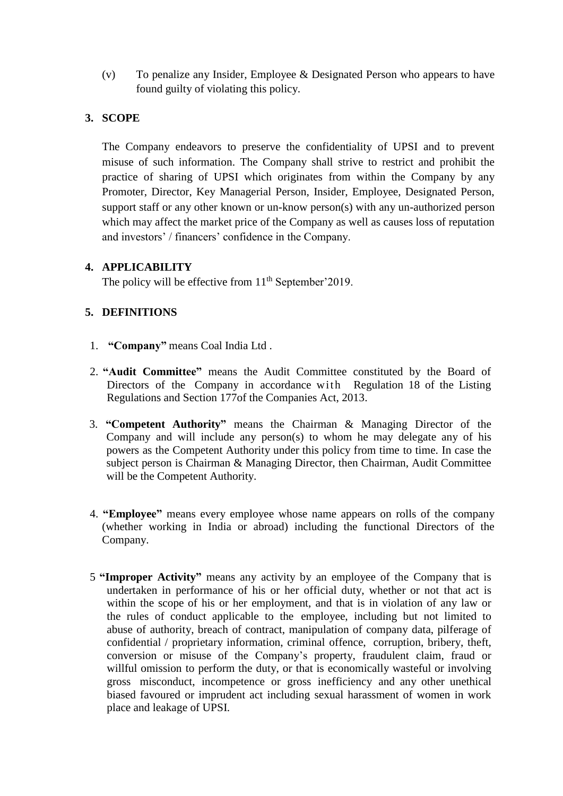(v) To penalize any Insider, Employee & Designated Person who appears to have found guilty of violating this policy.

# **3. SCOPE**

The Company endeavors to preserve the confidentiality of UPSI and to prevent misuse of such information. The Company shall strive to restrict and prohibit the practice of sharing of UPSI which originates from within the Company by any Promoter, Director, Key Managerial Person, Insider, Employee, Designated Person, support staff or any other known or un-know person(s) with any un-authorized person which may affect the market price of the Company as well as causes loss of reputation and investors' / financers' confidence in the Company.

# **4. APPLICABILITY**

The policy will be effective from  $11<sup>th</sup>$  September' 2019.

# **5. DEFINITIONS**

- 1. **"Company"** means Coal India Ltd .
- 2. **"Audit Committee"** means the Audit Committee constituted by the Board of Directors of the Company in accordance with Regulation 18 of the Listing Regulations and Section 177of the Companies Act, 2013.
- 3. **"Competent Authority"** means the Chairman & Managing Director of the Company and will include any person(s) to whom he may delegate any of his powers as the Competent Authority under this policy from time to time. In case the subject person is Chairman & Managing Director, then Chairman, Audit Committee will be the Competent Authority.
- 4. **"Employee"** means every employee whose name appears on rolls of the company (whether working in India or abroad) including the functional Directors of the Company.
- 5 **"Improper Activity"** means any activity by an employee of the Company that is undertaken in performance of his or her official duty, whether or not that act is within the scope of his or her employment, and that is in violation of any law or the rules of conduct applicable to the employee, including but not limited to abuse of authority, breach of contract, manipulation of company data, pilferage of confidential / proprietary information, criminal offence, corruption, bribery, theft, conversion or misuse of the Company's property, fraudulent claim, fraud or willful omission to perform the duty, or that is economically wasteful or involving gross misconduct, incompetence or gross inefficiency and any other unethical biased favoured or imprudent act including sexual harassment of women in work place and leakage of UPSI.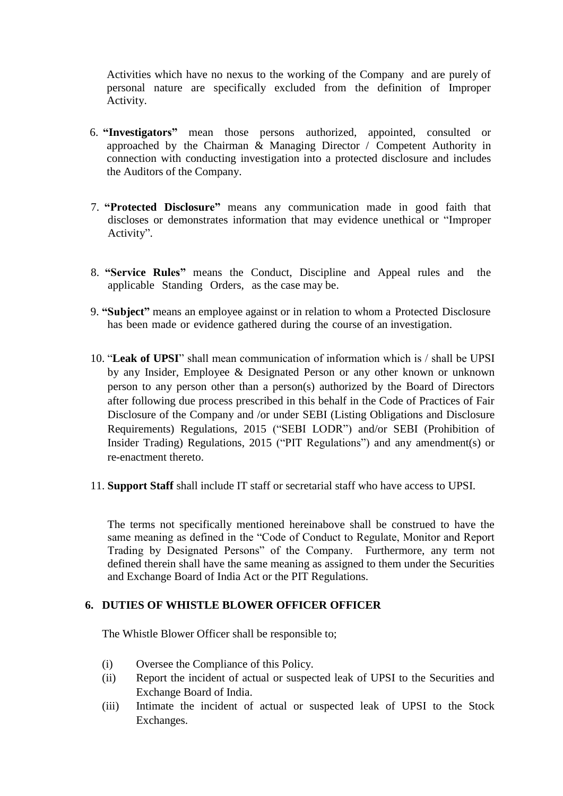Activities which have no nexus to the working of the Company and are purely of personal nature are specifically excluded from the definition of Improper Activity.

- 6. **"Investigators"** mean those persons authorized, appointed, consulted or approached by the Chairman & Managing Director / Competent Authority in connection with conducting investigation into a protected disclosure and includes the Auditors of the Company.
- 7. **"Protected Disclosure"** means any communication made in good faith that discloses or demonstrates information that may evidence unethical or "Improper Activity".
- 8. **"Service Rules"** means the Conduct, Discipline and Appeal rules and the applicable Standing Orders, as the case may be.
- 9. **"Subject"** means an employee against or in relation to whom a Protected Disclosure has been made or evidence gathered during the course of an investigation.
- 10. "**Leak of UPSI**" shall mean communication of information which is / shall be UPSI by any Insider, Employee & Designated Person or any other known or unknown person to any person other than a person(s) authorized by the Board of Directors after following due process prescribed in this behalf in the Code of Practices of Fair Disclosure of the Company and /or under SEBI (Listing Obligations and Disclosure Requirements) Regulations, 2015 ("SEBI LODR") and/or SEBI (Prohibition of Insider Trading) Regulations, 2015 ("PIT Regulations") and any amendment(s) or re-enactment thereto.
- 11. **Support Staff** shall include IT staff or secretarial staff who have access to UPSI.

The terms not specifically mentioned hereinabove shall be construed to have the same meaning as defined in the "Code of Conduct to Regulate, Monitor and Report Trading by Designated Persons" of the Company. Furthermore, any term not defined therein shall have the same meaning as assigned to them under the Securities and Exchange Board of India Act or the PIT Regulations.

#### **6. DUTIES OF WHISTLE BLOWER OFFICER OFFICER**

The Whistle Blower Officer shall be responsible to;

- (i) Oversee the Compliance of this Policy.
- (ii) Report the incident of actual or suspected leak of UPSI to the Securities and Exchange Board of India.
- (iii) Intimate the incident of actual or suspected leak of UPSI to the Stock Exchanges.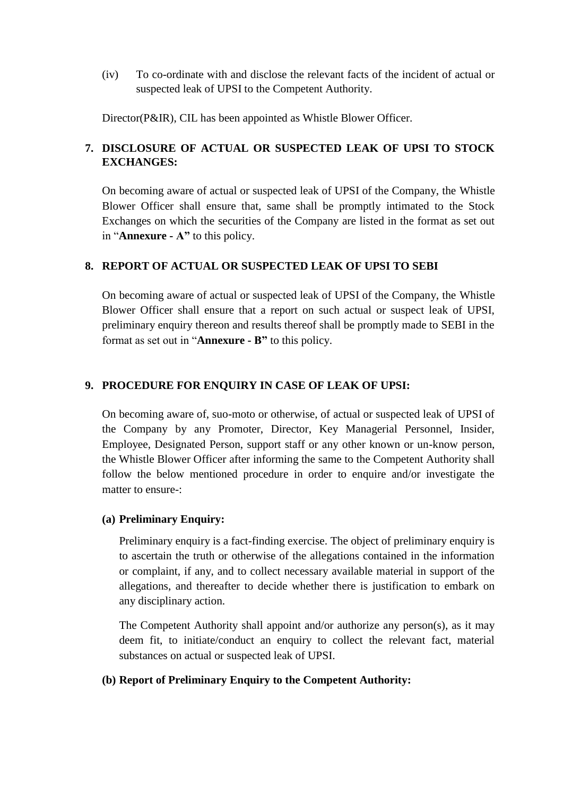(iv) To co-ordinate with and disclose the relevant facts of the incident of actual or suspected leak of UPSI to the Competent Authority.

Director(P&IR), CIL has been appointed as Whistle Blower Officer.

# **7. DISCLOSURE OF ACTUAL OR SUSPECTED LEAK OF UPSI TO STOCK EXCHANGES:**

On becoming aware of actual or suspected leak of UPSI of the Company, the Whistle Blower Officer shall ensure that, same shall be promptly intimated to the Stock Exchanges on which the securities of the Company are listed in the format as set out in "**Annexure - A"** to this policy.

# **8. REPORT OF ACTUAL OR SUSPECTED LEAK OF UPSI TO SEBI**

On becoming aware of actual or suspected leak of UPSI of the Company, the Whistle Blower Officer shall ensure that a report on such actual or suspect leak of UPSI, preliminary enquiry thereon and results thereof shall be promptly made to SEBI in the format as set out in "**Annexure - B"** to this policy.

### **9. PROCEDURE FOR ENQUIRY IN CASE OF LEAK OF UPSI:**

On becoming aware of, suo-moto or otherwise, of actual or suspected leak of UPSI of the Company by any Promoter, Director, Key Managerial Personnel, Insider, Employee, Designated Person, support staff or any other known or un-know person, the Whistle Blower Officer after informing the same to the Competent Authority shall follow the below mentioned procedure in order to enquire and/or investigate the matter to ensure-:

#### **(a) Preliminary Enquiry:**

Preliminary enquiry is a fact-finding exercise. The object of preliminary enquiry is to ascertain the truth or otherwise of the allegations contained in the information or complaint, if any, and to collect necessary available material in support of the allegations, and thereafter to decide whether there is justification to embark on any disciplinary action.

The Competent Authority shall appoint and/or authorize any person(s), as it may deem fit, to initiate/conduct an enquiry to collect the relevant fact, material substances on actual or suspected leak of UPSI.

#### **(b) Report of Preliminary Enquiry to the Competent Authority:**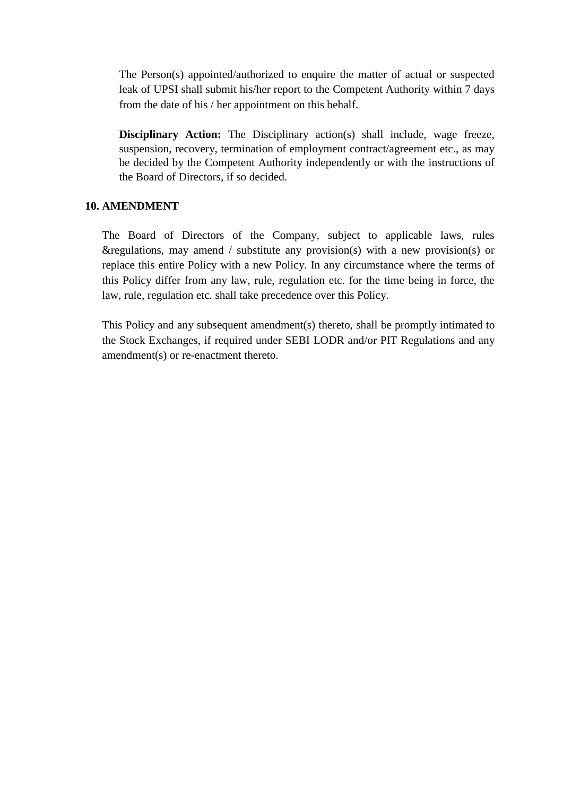The Person(s) appointed/authorized to enquire the matter of actual or suspected leak of UPSI shall submit his/her report to the Competent Authority within 7 days from the date of his / her appointment on this behalf.

**Disciplinary Action:** The Disciplinary action(s) shall include, wage freeze, suspension, recovery, termination of employment contract/agreement etc., as may be decided by the Competent Authority independently or with the instructions of the Board of Directors, if so decided.

#### **10. AMENDMENT**

The Board of Directors of the Company, subject to applicable laws, rules &regulations, may amend / substitute any provision(s) with a new provision(s) or replace this entire Policy with a new Policy. In any circumstance where the terms of this Policy differ from any law, rule, regulation etc. for the time being in force, the law, rule, regulation etc. shall take precedence over this Policy.

This Policy and any subsequent amendment(s) thereto, shall be promptly intimated to the Stock Exchanges, if required under SEBI LODR and/or PIT Regulations and any amendment(s) or re-enactment thereto.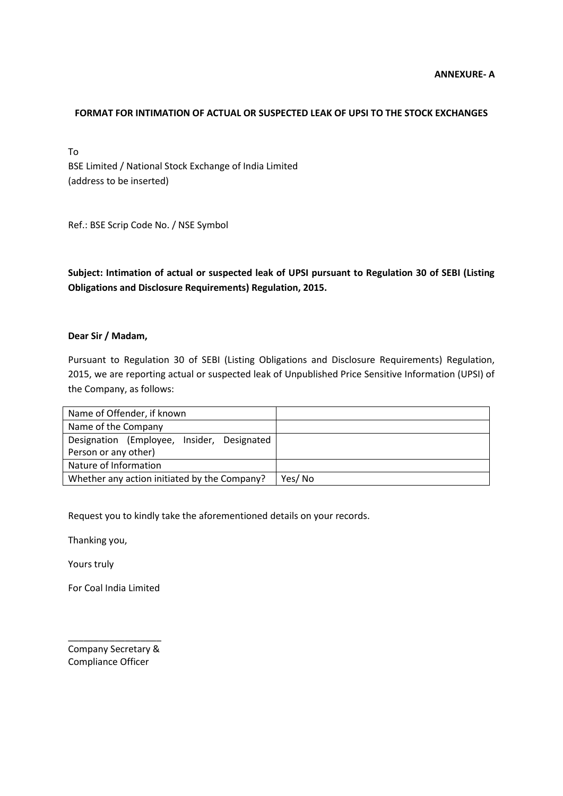#### **FORMAT FOR INTIMATION OF ACTUAL OR SUSPECTED LEAK OF UPSI TO THE STOCK EXCHANGES**

To BSE Limited / National Stock Exchange of India Limited (address to be inserted)

Ref.: BSE Scrip Code No. / NSE Symbol

**Subject: Intimation of actual or suspected leak of UPSI pursuant to Regulation 30 of SEBI (Listing Obligations and Disclosure Requirements) Regulation, 2015.**

#### **Dear Sir / Madam,**

Pursuant to Regulation 30 of SEBI (Listing Obligations and Disclosure Requirements) Regulation, 2015, we are reporting actual or suspected leak of Unpublished Price Sensitive Information (UPSI) of the Company, as follows:

| Name of Offender, if known                   |        |
|----------------------------------------------|--------|
| Name of the Company                          |        |
| Designation (Employee, Insider, Designated   |        |
| Person or any other)                         |        |
| Nature of Information                        |        |
| Whether any action initiated by the Company? | Yes/No |

Request you to kindly take the aforementioned details on your records.

Thanking you,

Yours truly

For Coal India Limited

\_\_\_\_\_\_\_\_\_\_\_\_\_\_\_\_\_\_ Company Secretary & Compliance Officer